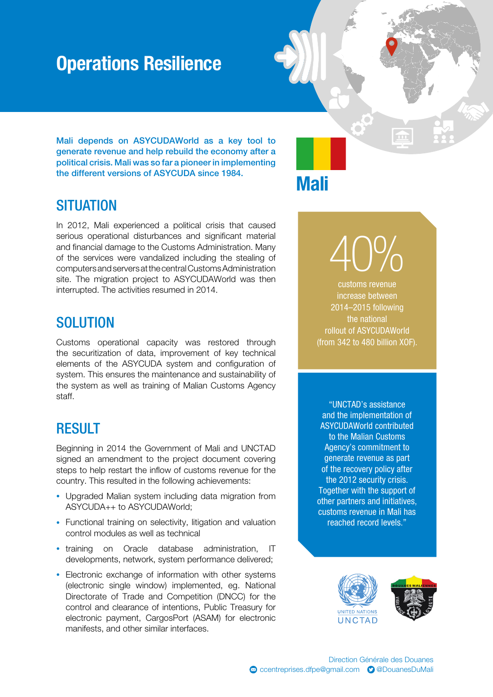## Operations Resilience

Mali depends on ASYCUDAWorld as a key tool to generate revenue and help rebuild the economy after a political crisis. Mali was so far a pioneer in implementing the different versions of ASYCUDA since 1984.

### **SITUATION**

In 2012, Mali experienced a political crisis that caused serious operational disturbances and significant material and financial damage to the Customs Administration. Many of the services were vandalized including the stealing of computers and servers at the central Customs Administration site. The migration project to ASYCUDAWorld was then interrupted. The activities resumed in 2014.

### **SOLUTION**

Customs operational capacity was restored through the securitization of data, improvement of key technical elements of the ASYCUDA system and configuration of system. This ensures the maintenance and sustainability of the system as well as training of Malian Customs Agency staff.

#### RESULT

Beginning in 2014 the Government of Mali and UNCTAD signed an amendment to the project document covering steps to help restart the inflow of customs revenue for the country. This resulted in the following achievements:

- Upgraded Malian system including data migration from ASYCUDA++ to ASYCUDAWorld;
- Functional training on selectivity, litigation and valuation control modules as well as technical
- training on Oracle database administration, IT developments, network, system performance delivered;
- Electronic exchange of information with other systems (electronic single window) implemented, eg. National Directorate of Trade and Competition (DNCC) for the control and clearance of intentions, Public Treasury for electronic payment, CargosPort (ASAM) for electronic manifests, and other similar interfaces.

Mali

40% customs revenue

increase between 2014–2015 following the national rollout of ASYCUDAWorld (from 342 to 480 billion XOF).

"UNCTAD's assistance and the implementation of ASYCUDAWorld contributed to the Malian Customs Agency's commitment to generate revenue as part of the recovery policy after the 2012 security crisis. Together with the support of other partners and initiatives, customs revenue in Mali has reached record levels."